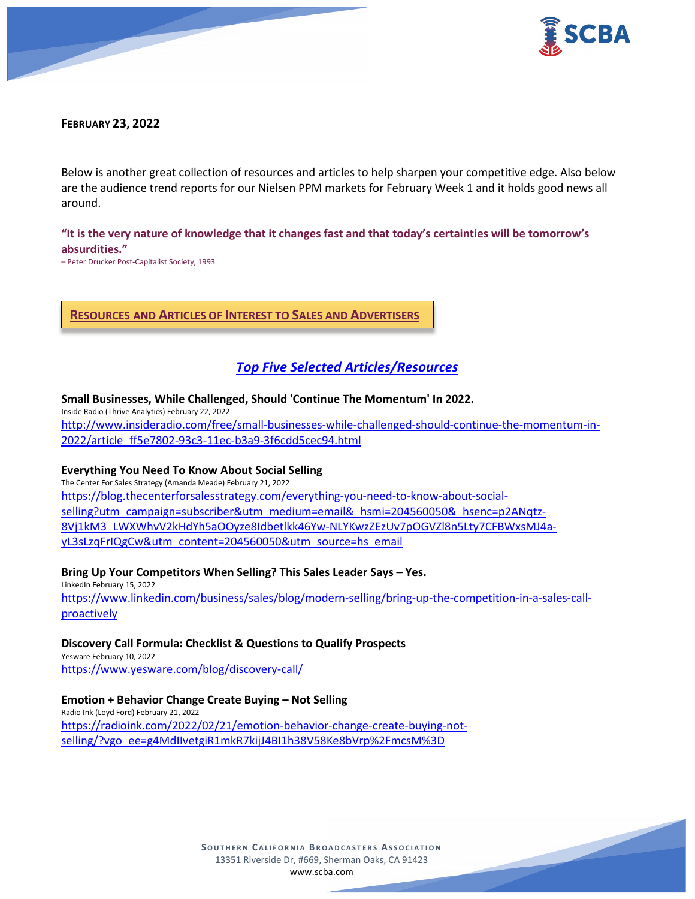



### **FEBRUARY 23, 2022**

Below is another great collection of resources and articles to help sharpen your competitive edge. Also below are the audience trend reports for our Nielsen PPM markets for February Week 1 and it holds good news all around.

# **"It is the very nature of knowledge that it changes fast and that today's certainties will be tomorrow's absurdities."**

– Peter Drucker Post-Capitalist Society, 1993

# **RESOURCES AND ARTICLES OF INTEREST TO SALES AND ADVERTISERS**

# *Top Five Selected Articles/Resources*

#### **Small Businesses, While Challenged, Should 'Continue The Momentum' In 2022.**

Inside Radio (Thrive Analytics) February 22, 2022

[http://www.insideradio.com/free/small-businesses-while-challenged-should-continue-the-momentum-in-](http://www.insideradio.com/free/small-businesses-while-challenged-should-continue-the-momentum-in-2022/article_ff5e7802-93c3-11ec-b3a9-3f6cdd5cec94.html)[2022/article\\_ff5e7802-93c3-11ec-b3a9-3f6cdd5cec94.html](http://www.insideradio.com/free/small-businesses-while-challenged-should-continue-the-momentum-in-2022/article_ff5e7802-93c3-11ec-b3a9-3f6cdd5cec94.html)

#### **Everything You Need To Know About Social Selling**

The Center For Sales Strategy (Amanda Meade) February 21, 2022 [https://blog.thecenterforsalesstrategy.com/everything-you-need-to-know-about-social](https://blog.thecenterforsalesstrategy.com/everything-you-need-to-know-about-social-selling?utm_campaign=subscriber&utm_medium=email&_hsmi=204560050&_hsenc=p2ANqtz-8Vj1kM3_LWXWhvV2kHdYh5aOOyze8Idbetlkk46Yw-NLYKwzZEzUv7pOGVZl8n5Lty7CFBWxsMJ4a-yL3sLzqFrIQgCw&utm_content=204560050&utm_source=hs_email)[selling?utm\\_campaign=subscriber&utm\\_medium=email&\\_hsmi=204560050&\\_hsenc=p2ANqtz-](https://blog.thecenterforsalesstrategy.com/everything-you-need-to-know-about-social-selling?utm_campaign=subscriber&utm_medium=email&_hsmi=204560050&_hsenc=p2ANqtz-8Vj1kM3_LWXWhvV2kHdYh5aOOyze8Idbetlkk46Yw-NLYKwzZEzUv7pOGVZl8n5Lty7CFBWxsMJ4a-yL3sLzqFrIQgCw&utm_content=204560050&utm_source=hs_email)[8Vj1kM3\\_LWXWhvV2kHdYh5aOOyze8Idbetlkk46Yw-NLYKwzZEzUv7pOGVZl8n5Lty7CFBWxsMJ4a](https://blog.thecenterforsalesstrategy.com/everything-you-need-to-know-about-social-selling?utm_campaign=subscriber&utm_medium=email&_hsmi=204560050&_hsenc=p2ANqtz-8Vj1kM3_LWXWhvV2kHdYh5aOOyze8Idbetlkk46Yw-NLYKwzZEzUv7pOGVZl8n5Lty7CFBWxsMJ4a-yL3sLzqFrIQgCw&utm_content=204560050&utm_source=hs_email)[yL3sLzqFrIQgCw&utm\\_content=204560050&utm\\_source=hs\\_email](https://blog.thecenterforsalesstrategy.com/everything-you-need-to-know-about-social-selling?utm_campaign=subscriber&utm_medium=email&_hsmi=204560050&_hsenc=p2ANqtz-8Vj1kM3_LWXWhvV2kHdYh5aOOyze8Idbetlkk46Yw-NLYKwzZEzUv7pOGVZl8n5Lty7CFBWxsMJ4a-yL3sLzqFrIQgCw&utm_content=204560050&utm_source=hs_email)

#### **Bring Up Your Competitors When Selling? This Sales Leader Says – Yes.**

LinkedIn February 15, 2022 [https://www.linkedin.com/business/sales/blog/modern-selling/bring-up-the-competition-in-a-sales-call](https://www.linkedin.com/business/sales/blog/modern-selling/bring-up-the-competition-in-a-sales-call-proactively)[proactively](https://www.linkedin.com/business/sales/blog/modern-selling/bring-up-the-competition-in-a-sales-call-proactively)

#### **Discovery Call Formula: Checklist & Questions to Qualify Prospects** Yesware February 10, 2022

<https://www.yesware.com/blog/discovery-call/>

### **Emotion + Behavior Change Create Buying – Not Selling**

Radio Ink (Loyd Ford) February 21, 2022 [https://radioink.com/2022/02/21/emotion-behavior-change-create-buying-not](https://radioink.com/2022/02/21/emotion-behavior-change-create-buying-not-selling/?vgo_ee=g4MdIIvetgiR1mkR7kijJ4BI1h38V58Ke8bVrp%2FmcsM%3D)[selling/?vgo\\_ee=g4MdIIvetgiR1mkR7kijJ4BI1h38V58Ke8bVrp%2FmcsM%3D](https://radioink.com/2022/02/21/emotion-behavior-change-create-buying-not-selling/?vgo_ee=g4MdIIvetgiR1mkR7kijJ4BI1h38V58Ke8bVrp%2FmcsM%3D)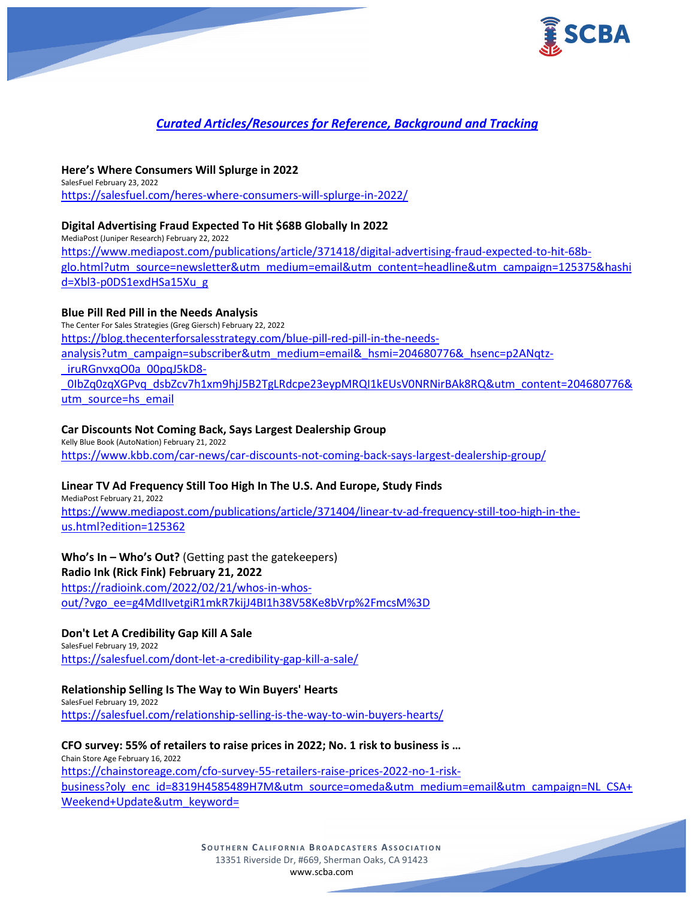

# *Curated Articles/Resources for Reference, Background and Tracking*

**Here's Where Consumers Will Splurge in 2022** SalesFuel February 23, 2022 <https://salesfuel.com/heres-where-consumers-will-splurge-in-2022/>

### **Digital Advertising Fraud Expected To Hit \$68B Globally In 2022**

MediaPost (Juniper Research) February 22, 2022 [https://www.mediapost.com/publications/article/371418/digital-advertising-fraud-expected-to-hit-68b](https://www.mediapost.com/publications/article/371418/digital-advertising-fraud-expected-to-hit-68b-glo.html?utm_source=newsletter&utm_medium=email&utm_content=headline&utm_campaign=125375&hashid=Xbl3-p0DS1exdHSa15Xu_g)[glo.html?utm\\_source=newsletter&utm\\_medium=email&utm\\_content=headline&utm\\_campaign=125375&hashi](https://www.mediapost.com/publications/article/371418/digital-advertising-fraud-expected-to-hit-68b-glo.html?utm_source=newsletter&utm_medium=email&utm_content=headline&utm_campaign=125375&hashid=Xbl3-p0DS1exdHSa15Xu_g) [d=Xbl3-p0DS1exdHSa15Xu\\_g](https://www.mediapost.com/publications/article/371418/digital-advertising-fraud-expected-to-hit-68b-glo.html?utm_source=newsletter&utm_medium=email&utm_content=headline&utm_campaign=125375&hashid=Xbl3-p0DS1exdHSa15Xu_g)

# **Blue Pill Red Pill in the Needs Analysis**

The Center For Sales Strategies (Greg Giersch) February 22, 2022 [https://blog.thecenterforsalesstrategy.com/blue-pill-red-pill-in-the-needs](https://blog.thecenterforsalesstrategy.com/blue-pill-red-pill-in-the-needs-analysis?utm_campaign=subscriber&utm_medium=email&_hsmi=204680776&_hsenc=p2ANqtz-_iruRGnvxqO0a_00pqJ5kD8-_0IbZq0zqXGPvq_dsbZcv7h1xm9hjJ5B2TgLRdcpe23eypMRQI1kEUsV0NRNirBAk8RQ&utm_content=204680776&utm_source=hs_email)[analysis?utm\\_campaign=subscriber&utm\\_medium=email&\\_hsmi=204680776&\\_hsenc=p2ANqtz-](https://blog.thecenterforsalesstrategy.com/blue-pill-red-pill-in-the-needs-analysis?utm_campaign=subscriber&utm_medium=email&_hsmi=204680776&_hsenc=p2ANqtz-_iruRGnvxqO0a_00pqJ5kD8-_0IbZq0zqXGPvq_dsbZcv7h1xm9hjJ5B2TgLRdcpe23eypMRQI1kEUsV0NRNirBAk8RQ&utm_content=204680776&utm_source=hs_email) [\\_iruRGnvxqO0a\\_00pqJ5kD8-](https://blog.thecenterforsalesstrategy.com/blue-pill-red-pill-in-the-needs-analysis?utm_campaign=subscriber&utm_medium=email&_hsmi=204680776&_hsenc=p2ANqtz-_iruRGnvxqO0a_00pqJ5kD8-_0IbZq0zqXGPvq_dsbZcv7h1xm9hjJ5B2TgLRdcpe23eypMRQI1kEUsV0NRNirBAk8RQ&utm_content=204680776&utm_source=hs_email) [\\_0IbZq0zqXGPvq\\_dsbZcv7h1xm9hjJ5B2TgLRdcpe23eypMRQI1kEUsV0NRNirBAk8RQ&utm\\_content=204680776&](https://blog.thecenterforsalesstrategy.com/blue-pill-red-pill-in-the-needs-analysis?utm_campaign=subscriber&utm_medium=email&_hsmi=204680776&_hsenc=p2ANqtz-_iruRGnvxqO0a_00pqJ5kD8-_0IbZq0zqXGPvq_dsbZcv7h1xm9hjJ5B2TgLRdcpe23eypMRQI1kEUsV0NRNirBAk8RQ&utm_content=204680776&utm_source=hs_email) [utm\\_source=hs\\_email](https://blog.thecenterforsalesstrategy.com/blue-pill-red-pill-in-the-needs-analysis?utm_campaign=subscriber&utm_medium=email&_hsmi=204680776&_hsenc=p2ANqtz-_iruRGnvxqO0a_00pqJ5kD8-_0IbZq0zqXGPvq_dsbZcv7h1xm9hjJ5B2TgLRdcpe23eypMRQI1kEUsV0NRNirBAk8RQ&utm_content=204680776&utm_source=hs_email)

### **Car Discounts Not Coming Back, Says Largest Dealership Group**

Kelly Blue Book (AutoNation) February 21, 2022 <https://www.kbb.com/car-news/car-discounts-not-coming-back-says-largest-dealership-group/>

### **Linear TV Ad Frequency Still Too High In The U.S. And Europe, Study Finds**

MediaPost February 21, 2022 [https://www.mediapost.com/publications/article/371404/linear-tv-ad-frequency-still-too-high-in-the](https://www.mediapost.com/publications/article/371404/linear-tv-ad-frequency-still-too-high-in-the-us.html?edition=125362)[us.html?edition=125362](https://www.mediapost.com/publications/article/371404/linear-tv-ad-frequency-still-too-high-in-the-us.html?edition=125362)

### **Who's In – Who's Out?** (Getting past the gatekeepers) **Radio Ink (Rick Fink) February 21, 2022**

[https://radioink.com/2022/02/21/whos-in-whos](https://radioink.com/2022/02/21/whos-in-whos-out/?vgo_ee=g4MdIIvetgiR1mkR7kijJ4BI1h38V58Ke8bVrp%2FmcsM%3D)[out/?vgo\\_ee=g4MdIIvetgiR1mkR7kijJ4BI1h38V58Ke8bVrp%2FmcsM%3D](https://radioink.com/2022/02/21/whos-in-whos-out/?vgo_ee=g4MdIIvetgiR1mkR7kijJ4BI1h38V58Ke8bVrp%2FmcsM%3D)

#### **Don't Let A Credibility Gap Kill A Sale**

SalesFuel February 19, 2022 <https://salesfuel.com/dont-let-a-credibility-gap-kill-a-sale/>

#### **Relationship Selling Is The Way to Win Buyers' Hearts**

SalesFuel February 19, 2022 <https://salesfuel.com/relationship-selling-is-the-way-to-win-buyers-hearts/>

# **CFO survey: 55% of retailers to raise prices in 2022; No. 1 risk to business is …**

Chain Store Age February 16, 2022 [https://chainstoreage.com/cfo-survey-55-retailers-raise-prices-2022-no-1-risk](https://chainstoreage.com/cfo-survey-55-retailers-raise-prices-2022-no-1-risk-business?oly_enc_id=8319H4585489H7M&utm_source=omeda&utm_medium=email&utm_campaign=NL_CSA+Weekend+Update&utm_keyword=)[business?oly\\_enc\\_id=8319H4585489H7M&utm\\_source=omeda&utm\\_medium=email&utm\\_campaign=NL\\_CSA+](https://chainstoreage.com/cfo-survey-55-retailers-raise-prices-2022-no-1-risk-business?oly_enc_id=8319H4585489H7M&utm_source=omeda&utm_medium=email&utm_campaign=NL_CSA+Weekend+Update&utm_keyword=) [Weekend+Update&utm\\_keyword=](https://chainstoreage.com/cfo-survey-55-retailers-raise-prices-2022-no-1-risk-business?oly_enc_id=8319H4585489H7M&utm_source=omeda&utm_medium=email&utm_campaign=NL_CSA+Weekend+Update&utm_keyword=)

> **SOUTHERN C ALIFORNIA B ROADCASTERS ASSOCIATION** 13351 Riverside Dr, #669, Sherman Oaks, CA 91423 [www.scba.com](http://www.scba.com/)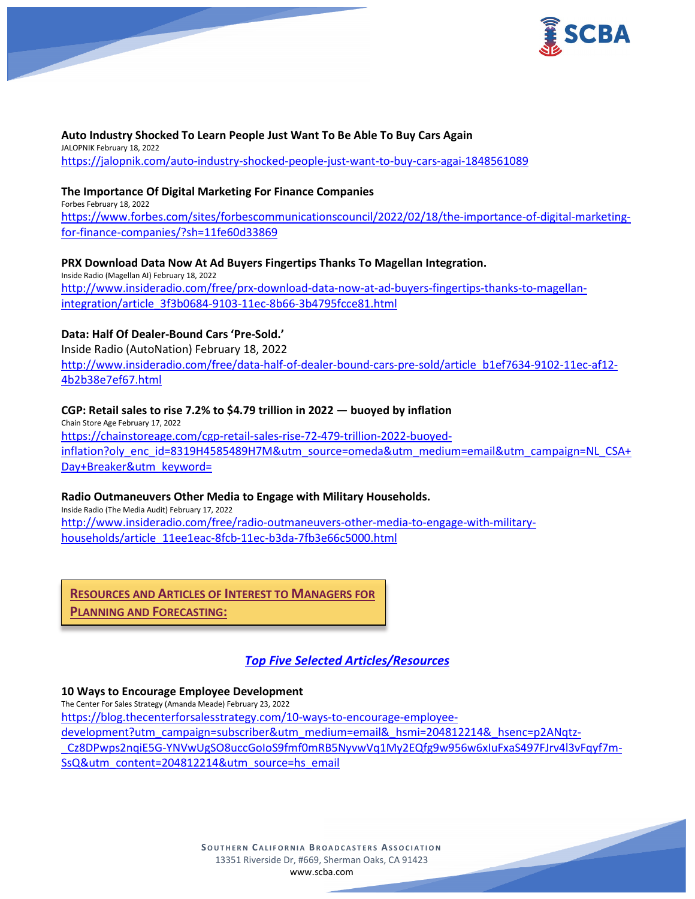

#### **Auto Industry Shocked To Learn People Just Want To Be Able To Buy Cars Again** JALOPNIK February 18, 2022 <https://jalopnik.com/auto-industry-shocked-people-just-want-to-buy-cars-agai-1848561089>

# **The Importance Of Digital Marketing For Finance Companies**

Forbes February 18, 2022 [https://www.forbes.com/sites/forbescommunicationscouncil/2022/02/18/the-importance-of-digital-marketing](https://www.forbes.com/sites/forbescommunicationscouncil/2022/02/18/the-importance-of-digital-marketing-for-finance-companies/?sh=11fe60d33869)[for-finance-companies/?sh=11fe60d33869](https://www.forbes.com/sites/forbescommunicationscouncil/2022/02/18/the-importance-of-digital-marketing-for-finance-companies/?sh=11fe60d33869)

# **PRX Download Data Now At Ad Buyers Fingertips Thanks To Magellan Integration.**

Inside Radio (Magellan AI) February 18, 2022 [http://www.insideradio.com/free/prx-download-data-now-at-ad-buyers-fingertips-thanks-to-magellan](http://www.insideradio.com/free/prx-download-data-now-at-ad-buyers-fingertips-thanks-to-magellan-integration/article_3f3b0684-9103-11ec-8b66-3b4795fcce81.html)[integration/article\\_3f3b0684-9103-11ec-8b66-3b4795fcce81.html](http://www.insideradio.com/free/prx-download-data-now-at-ad-buyers-fingertips-thanks-to-magellan-integration/article_3f3b0684-9103-11ec-8b66-3b4795fcce81.html)

# **Data: Half Of Dealer-Bound Cars 'Pre-Sold.'**

Inside Radio (AutoNation) February 18, 2022 [http://www.insideradio.com/free/data-half-of-dealer-bound-cars-pre-sold/article\\_b1ef7634-9102-11ec-af12-](http://www.insideradio.com/free/data-half-of-dealer-bound-cars-pre-sold/article_b1ef7634-9102-11ec-af12-4b2b38e7ef67.html) [4b2b38e7ef67.html](http://www.insideradio.com/free/data-half-of-dealer-bound-cars-pre-sold/article_b1ef7634-9102-11ec-af12-4b2b38e7ef67.html)

# **CGP: Retail sales to rise 7.2% to \$4.79 trillion in 2022 — buoyed by inflation**

Chain Store Age February 17, 2022 [https://chainstoreage.com/cgp-retail-sales-rise-72-479-trillion-2022-buoyed](https://chainstoreage.com/cgp-retail-sales-rise-72-479-trillion-2022-buoyed-inflation?oly_enc_id=8319H4585489H7M&utm_source=omeda&utm_medium=email&utm_campaign=NL_CSA+Day+Breaker&utm_keyword=)[inflation?oly\\_enc\\_id=8319H4585489H7M&utm\\_source=omeda&utm\\_medium=email&utm\\_campaign=NL\\_CSA+](https://chainstoreage.com/cgp-retail-sales-rise-72-479-trillion-2022-buoyed-inflation?oly_enc_id=8319H4585489H7M&utm_source=omeda&utm_medium=email&utm_campaign=NL_CSA+Day+Breaker&utm_keyword=) [Day+Breaker&utm\\_keyword=](https://chainstoreage.com/cgp-retail-sales-rise-72-479-trillion-2022-buoyed-inflation?oly_enc_id=8319H4585489H7M&utm_source=omeda&utm_medium=email&utm_campaign=NL_CSA+Day+Breaker&utm_keyword=)

# **Radio Outmaneuvers Other Media to Engage with Military Households.**

Inside Radio (The Media Audit) February 17, 2022 [http://www.insideradio.com/free/radio-outmaneuvers-other-media-to-engage-with-military](http://www.insideradio.com/free/radio-outmaneuvers-other-media-to-engage-with-military-households/article_11ee1eac-8fcb-11ec-b3da-7fb3e66c5000.html)[households/article\\_11ee1eac-8fcb-11ec-b3da-7fb3e66c5000.html](http://www.insideradio.com/free/radio-outmaneuvers-other-media-to-engage-with-military-households/article_11ee1eac-8fcb-11ec-b3da-7fb3e66c5000.html)

**RESOURCES AND ARTICLES OF INTEREST TO MANAGERS FOR** 

**PLANNING AND FORECASTING:**

# *Top Five Selected Articles/Resources*

# **10 Ways to Encourage Employee Development**

The Center For Sales Strategy (Amanda Meade) February 23, 2022 [https://blog.thecenterforsalesstrategy.com/10-ways-to-encourage-employee](https://blog.thecenterforsalesstrategy.com/10-ways-to-encourage-employee-development?utm_campaign=subscriber&utm_medium=email&_hsmi=204812214&_hsenc=p2ANqtz-_Cz8DPwps2nqiE5G-YNVwUgSO8uccGoIoS9fmf0mRB5NyvwVq1My2EQfg9w956w6xIuFxaS497FJrv4l3vFqyf7m-SsQ&utm_content=204812214&utm_source=hs_email)[development?utm\\_campaign=subscriber&utm\\_medium=email&\\_hsmi=204812214&\\_hsenc=p2ANqtz-](https://blog.thecenterforsalesstrategy.com/10-ways-to-encourage-employee-development?utm_campaign=subscriber&utm_medium=email&_hsmi=204812214&_hsenc=p2ANqtz-_Cz8DPwps2nqiE5G-YNVwUgSO8uccGoIoS9fmf0mRB5NyvwVq1My2EQfg9w956w6xIuFxaS497FJrv4l3vFqyf7m-SsQ&utm_content=204812214&utm_source=hs_email) [\\_Cz8DPwps2nqiE5G-YNVwUgSO8uccGoIoS9fmf0mRB5NyvwVq1My2EQfg9w956w6xIuFxaS497FJrv4l3vFqyf7m-](https://blog.thecenterforsalesstrategy.com/10-ways-to-encourage-employee-development?utm_campaign=subscriber&utm_medium=email&_hsmi=204812214&_hsenc=p2ANqtz-_Cz8DPwps2nqiE5G-YNVwUgSO8uccGoIoS9fmf0mRB5NyvwVq1My2EQfg9w956w6xIuFxaS497FJrv4l3vFqyf7m-SsQ&utm_content=204812214&utm_source=hs_email)[SsQ&utm\\_content=204812214&utm\\_source=hs\\_email](https://blog.thecenterforsalesstrategy.com/10-ways-to-encourage-employee-development?utm_campaign=subscriber&utm_medium=email&_hsmi=204812214&_hsenc=p2ANqtz-_Cz8DPwps2nqiE5G-YNVwUgSO8uccGoIoS9fmf0mRB5NyvwVq1My2EQfg9w956w6xIuFxaS497FJrv4l3vFqyf7m-SsQ&utm_content=204812214&utm_source=hs_email)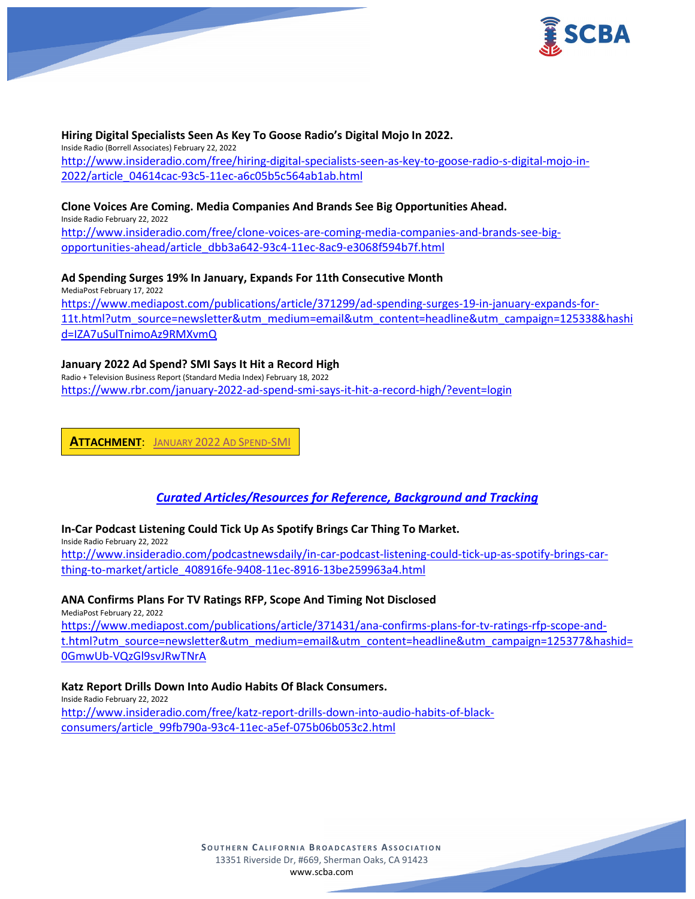

**Hiring Digital Specialists Seen As Key To Goose Radio's Digital Mojo In 2022.** Inside Radio (Borrell Associates) February 22, 2022 [http://www.insideradio.com/free/hiring-digital-specialists-seen-as-key-to-goose-radio-s-digital-mojo-in-](http://www.insideradio.com/free/hiring-digital-specialists-seen-as-key-to-goose-radio-s-digital-mojo-in-2022/article_04614cac-93c5-11ec-a6c05b5c564ab1ab.html)[2022/article\\_04614cac-93c5-11ec-a6c05b5c564ab1ab.html](http://www.insideradio.com/free/hiring-digital-specialists-seen-as-key-to-goose-radio-s-digital-mojo-in-2022/article_04614cac-93c5-11ec-a6c05b5c564ab1ab.html)

### **Clone Voices Are Coming. Media Companies And Brands See Big Opportunities Ahead.**

Inside Radio February 22, 2022

[http://www.insideradio.com/free/clone-voices-are-coming-media-companies-and-brands-see-big](http://www.insideradio.com/free/clone-voices-are-coming-media-companies-and-brands-see-big-opportunities-ahead/article_dbb3a642-93c4-11ec-8ac9-e3068f594b7f.html)[opportunities-ahead/article\\_dbb3a642-93c4-11ec-8ac9-e3068f594b7f.html](http://www.insideradio.com/free/clone-voices-are-coming-media-companies-and-brands-see-big-opportunities-ahead/article_dbb3a642-93c4-11ec-8ac9-e3068f594b7f.html)

### **Ad Spending Surges 19% In January, Expands For 11th Consecutive Month**

MediaPost February 17, 2022 [https://www.mediapost.com/publications/article/371299/ad-spending-surges-19-in-january-expands-for-](https://www.mediapost.com/publications/article/371299/ad-spending-surges-19-in-january-expands-for-11t.html?utm_source=newsletter&utm_medium=email&utm_content=headline&utm_campaign=125338&hashid=IZA7uSulTnimoAz9RMXvmQ)[11t.html?utm\\_source=newsletter&utm\\_medium=email&utm\\_content=headline&utm\\_campaign=125338&hashi](https://www.mediapost.com/publications/article/371299/ad-spending-surges-19-in-january-expands-for-11t.html?utm_source=newsletter&utm_medium=email&utm_content=headline&utm_campaign=125338&hashid=IZA7uSulTnimoAz9RMXvmQ) [d=IZA7uSulTnimoAz9RMXvmQ](https://www.mediapost.com/publications/article/371299/ad-spending-surges-19-in-january-expands-for-11t.html?utm_source=newsletter&utm_medium=email&utm_content=headline&utm_campaign=125338&hashid=IZA7uSulTnimoAz9RMXvmQ)

### **January 2022 Ad Spend? SMI Says It Hit a Record High**

Radio + Television Business Report (Standard Media Index) February 18, 2022 <https://www.rbr.com/january-2022-ad-spend-smi-says-it-hit-a-record-high/?event=login>

**ATTACHMENT**: [JANUARY 2022](https://scba.com/wp-content/uploads/2022/02/January-2022-Ad-Spend-SMI.pdf) AD SPEND-SMI

# *Curated Articles/Resources for Reference, Background and Tracking*

# **In-Car Podcast Listening Could Tick Up As Spotify Brings Car Thing To Market.**

Inside Radio February 22, 2022 [http://www.insideradio.com/podcastnewsdaily/in-car-podcast-listening-could-tick-up-as-spotify-brings-car](http://www.insideradio.com/podcastnewsdaily/in-car-podcast-listening-could-tick-up-as-spotify-brings-car-thing-to-market/article_408916fe-9408-11ec-8916-13be259963a4.html)[thing-to-market/article\\_408916fe-9408-11ec-8916-13be259963a4.html](http://www.insideradio.com/podcastnewsdaily/in-car-podcast-listening-could-tick-up-as-spotify-brings-car-thing-to-market/article_408916fe-9408-11ec-8916-13be259963a4.html)

# **ANA Confirms Plans For TV Ratings RFP, Scope And Timing Not Disclosed**

MediaPost February 22, 2022

[https://www.mediapost.com/publications/article/371431/ana-confirms-plans-for-tv-ratings-rfp-scope-and](https://www.mediapost.com/publications/article/371431/ana-confirms-plans-for-tv-ratings-rfp-scope-and-t.html?utm_source=newsletter&utm_medium=email&utm_content=headline&utm_campaign=125377&hashid=0GmwUb-VQzGl9svJRwTNrA)[t.html?utm\\_source=newsletter&utm\\_medium=email&utm\\_content=headline&utm\\_campaign=125377&hashid=](https://www.mediapost.com/publications/article/371431/ana-confirms-plans-for-tv-ratings-rfp-scope-and-t.html?utm_source=newsletter&utm_medium=email&utm_content=headline&utm_campaign=125377&hashid=0GmwUb-VQzGl9svJRwTNrA) [0GmwUb-VQzGl9svJRwTNrA](https://www.mediapost.com/publications/article/371431/ana-confirms-plans-for-tv-ratings-rfp-scope-and-t.html?utm_source=newsletter&utm_medium=email&utm_content=headline&utm_campaign=125377&hashid=0GmwUb-VQzGl9svJRwTNrA)

#### **Katz Report Drills Down Into Audio Habits Of Black Consumers.**

Inside Radio February 22, 2022 [http://www.insideradio.com/free/katz-report-drills-down-into-audio-habits-of-black](http://www.insideradio.com/free/katz-report-drills-down-into-audio-habits-of-black-consumers/article_99fb790a-93c4-11ec-a5ef-075b06b053c2.html)[consumers/article\\_99fb790a-93c4-11ec-a5ef-075b06b053c2.html](http://www.insideradio.com/free/katz-report-drills-down-into-audio-habits-of-black-consumers/article_99fb790a-93c4-11ec-a5ef-075b06b053c2.html)

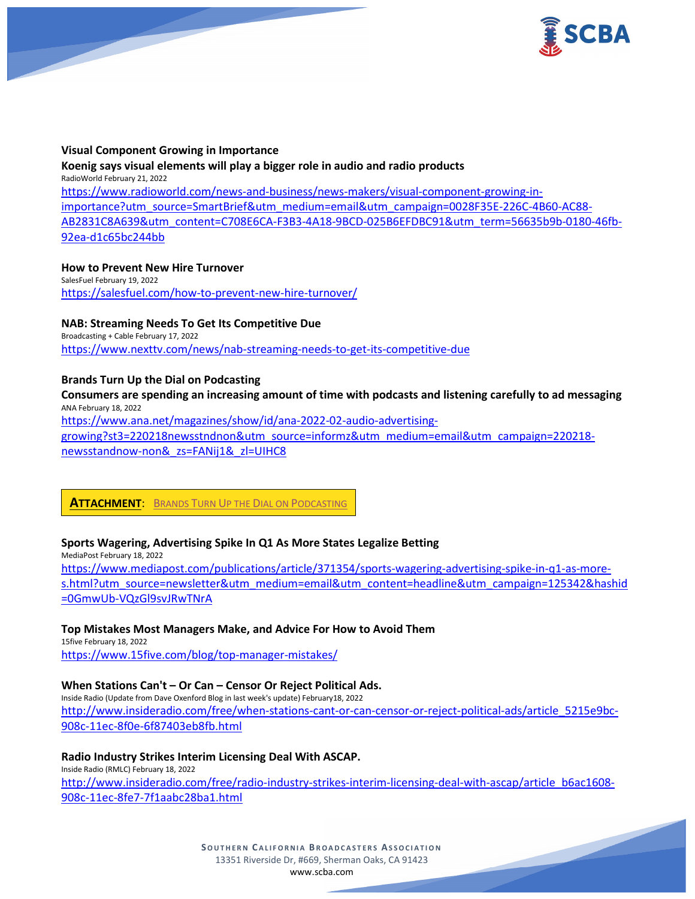

### **Visual Component Growing in Importance**

### **Koenig says visual elements will play a bigger role in audio and radio products** RadioWorld February 21, 2022

[https://www.radioworld.com/news-and-business/news-makers/visual-component-growing-in](https://www.radioworld.com/news-and-business/news-makers/visual-component-growing-in-importance?utm_source=SmartBrief&utm_medium=email&utm_campaign=0028F35E-226C-4B60-AC88-AB2831C8A639&utm_content=C708E6CA-F3B3-4A18-9BCD-025B6EFDBC91&utm_term=56635b9b-0180-46fb-92ea-d1c65bc244bb)[importance?utm\\_source=SmartBrief&utm\\_medium=email&utm\\_campaign=0028F35E-226C-4B60-AC88-](https://www.radioworld.com/news-and-business/news-makers/visual-component-growing-in-importance?utm_source=SmartBrief&utm_medium=email&utm_campaign=0028F35E-226C-4B60-AC88-AB2831C8A639&utm_content=C708E6CA-F3B3-4A18-9BCD-025B6EFDBC91&utm_term=56635b9b-0180-46fb-92ea-d1c65bc244bb) [AB2831C8A639&utm\\_content=C708E6CA-F3B3-4A18-9BCD-025B6EFDBC91&utm\\_term=56635b9b-0180-46fb-](https://www.radioworld.com/news-and-business/news-makers/visual-component-growing-in-importance?utm_source=SmartBrief&utm_medium=email&utm_campaign=0028F35E-226C-4B60-AC88-AB2831C8A639&utm_content=C708E6CA-F3B3-4A18-9BCD-025B6EFDBC91&utm_term=56635b9b-0180-46fb-92ea-d1c65bc244bb)[92ea-d1c65bc244bb](https://www.radioworld.com/news-and-business/news-makers/visual-component-growing-in-importance?utm_source=SmartBrief&utm_medium=email&utm_campaign=0028F35E-226C-4B60-AC88-AB2831C8A639&utm_content=C708E6CA-F3B3-4A18-9BCD-025B6EFDBC91&utm_term=56635b9b-0180-46fb-92ea-d1c65bc244bb)

# **How to Prevent New Hire Turnover**

SalesFuel February 19, 2022 <https://salesfuel.com/how-to-prevent-new-hire-turnover/>

# **NAB: Streaming Needs To Get Its Competitive Due**

Broadcasting + Cable February 17, 2022 <https://www.nexttv.com/news/nab-streaming-needs-to-get-its-competitive-due>

# **Brands Turn Up the Dial on Podcasting**

### **Consumers are spending an increasing amount of time with podcasts and listening carefully to ad messaging** ANA February 18, 2022

[https://www.ana.net/magazines/show/id/ana-2022-02-audio-advertising](https://www.ana.net/magazines/show/id/ana-2022-02-audio-advertising-growing?st3=220218newsstndnon&utm_source=informz&utm_medium=email&utm_campaign=220218-newsstandnow-non&_zs=FANij1&_zl=UIHC8)[growing?st3=220218newsstndnon&utm\\_source=informz&utm\\_medium=email&utm\\_campaign=220218-](https://www.ana.net/magazines/show/id/ana-2022-02-audio-advertising-growing?st3=220218newsstndnon&utm_source=informz&utm_medium=email&utm_campaign=220218-newsstandnow-non&_zs=FANij1&_zl=UIHC8)

[newsstandnow-non&\\_zs=FANij1&\\_zl=UIHC8](https://www.ana.net/magazines/show/id/ana-2022-02-audio-advertising-growing?st3=220218newsstndnon&utm_source=informz&utm_medium=email&utm_campaign=220218-newsstandnow-non&_zs=FANij1&_zl=UIHC8)

# **ATTACHMENT**: [BRANDS TURN UP THE DIAL ON PODCASTING](https://scba.com/wp-content/uploads/2022/02/Brands-Turn-Up-the-Dial-on-Podcasting.pdf)

# **Sports Wagering, Advertising Spike In Q1 As More States Legalize Betting**

MediaPost February 18, 2022

[https://www.mediapost.com/publications/article/371354/sports-wagering-advertising-spike-in-q1-as-more](https://www.mediapost.com/publications/article/371354/sports-wagering-advertising-spike-in-q1-as-more-s.html?utm_source=newsletter&utm_medium=email&utm_content=headline&utm_campaign=125342&hashid=0GmwUb-VQzGl9svJRwTNrA)[s.html?utm\\_source=newsletter&utm\\_medium=email&utm\\_content=headline&utm\\_campaign=125342&hashid](https://www.mediapost.com/publications/article/371354/sports-wagering-advertising-spike-in-q1-as-more-s.html?utm_source=newsletter&utm_medium=email&utm_content=headline&utm_campaign=125342&hashid=0GmwUb-VQzGl9svJRwTNrA) [=0GmwUb-VQzGl9svJRwTNrA](https://www.mediapost.com/publications/article/371354/sports-wagering-advertising-spike-in-q1-as-more-s.html?utm_source=newsletter&utm_medium=email&utm_content=headline&utm_campaign=125342&hashid=0GmwUb-VQzGl9svJRwTNrA)

# **Top Mistakes Most Managers Make, and Advice For How to Avoid Them**

15five February 18, 2022 <https://www.15five.com/blog/top-manager-mistakes/>

# **When Stations Can't – Or Can – Censor Or Reject Political Ads.**

Inside Radio (Update from Dave Oxenford Blog in last week's update) February18, 2022 [http://www.insideradio.com/free/when-stations-cant-or-can-censor-or-reject-political-ads/article\\_5215e9bc-](http://www.insideradio.com/free/when-stations-cant-or-can-censor-or-reject-political-ads/article_5215e9bc-908c-11ec-8f0e-6f87403eb8fb.html)[908c-11ec-8f0e-6f87403eb8fb.html](http://www.insideradio.com/free/when-stations-cant-or-can-censor-or-reject-political-ads/article_5215e9bc-908c-11ec-8f0e-6f87403eb8fb.html)

# **Radio Industry Strikes Interim Licensing Deal With ASCAP.**

Inside Radio (RMLC) February 18, 2022 [http://www.insideradio.com/free/radio-industry-strikes-interim-licensing-deal-with-ascap/article\\_b6ac1608-](http://www.insideradio.com/free/radio-industry-strikes-interim-licensing-deal-with-ascap/article_b6ac1608-908c-11ec-8fe7-7f1aabc28ba1.html) [908c-11ec-8fe7-7f1aabc28ba1.html](http://www.insideradio.com/free/radio-industry-strikes-interim-licensing-deal-with-ascap/article_b6ac1608-908c-11ec-8fe7-7f1aabc28ba1.html)

> **SOUTHERN C ALIFORNIA B ROADCASTERS ASSOCIATION** 13351 Riverside Dr, #669, Sherman Oaks, CA 91423 [www.scba.com](http://www.scba.com/)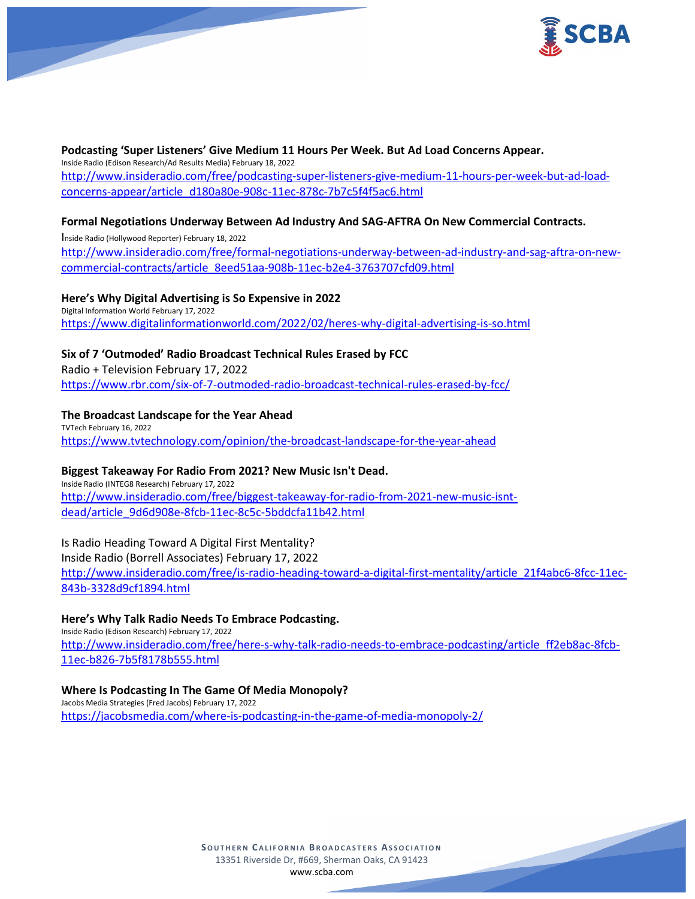

### **Podcasting 'Super Listeners' Give Medium 11 Hours Per Week. But Ad Load Concerns Appear.** Inside Radio (Edison Research/Ad Results Media) February 18, 2022 [http://www.insideradio.com/free/podcasting-super-listeners-give-medium-11-hours-per-week-but-ad-load](http://www.insideradio.com/free/podcasting-super-listeners-give-medium-11-hours-per-week-but-ad-load-concerns-appear/article_d180a80e-908c-11ec-878c-7b7c5f4f5ac6.html)[concerns-appear/article\\_d180a80e-908c-11ec-878c-7b7c5f4f5ac6.html](http://www.insideradio.com/free/podcasting-super-listeners-give-medium-11-hours-per-week-but-ad-load-concerns-appear/article_d180a80e-908c-11ec-878c-7b7c5f4f5ac6.html)

# **Formal Negotiations Underway Between Ad Industry And SAG-AFTRA On New Commercial Contracts.**

Inside Radio (Hollywood Reporter) February 18, 2022 [http://www.insideradio.com/free/formal-negotiations-underway-between-ad-industry-and-sag-aftra-on-new](http://www.insideradio.com/free/formal-negotiations-underway-between-ad-industry-and-sag-aftra-on-new-commercial-contracts/article_8eed51aa-908b-11ec-b2e4-3763707cfd09.html)[commercial-contracts/article\\_8eed51aa-908b-11ec-b2e4-3763707cfd09.html](http://www.insideradio.com/free/formal-negotiations-underway-between-ad-industry-and-sag-aftra-on-new-commercial-contracts/article_8eed51aa-908b-11ec-b2e4-3763707cfd09.html)

**Here's Why Digital Advertising is So Expensive in 2022**

Digital Information World February 17, 2022 <https://www.digitalinformationworld.com/2022/02/heres-why-digital-advertising-is-so.html>

# **Six of 7 'Outmoded' Radio Broadcast Technical Rules Erased by FCC**

Radio + Television February 17, 2022 <https://www.rbr.com/six-of-7-outmoded-radio-broadcast-technical-rules-erased-by-fcc/>

### **The Broadcast Landscape for the Year Ahead**

TVTech February 16, 2022 <https://www.tvtechnology.com/opinion/the-broadcast-landscape-for-the-year-ahead>

#### **Biggest Takeaway For Radio From 2021? New Music Isn't Dead.**

Inside Radio (INTEG8 Research) February 17, 2022 [http://www.insideradio.com/free/biggest-takeaway-for-radio-from-2021-new-music-isnt](http://www.insideradio.com/free/biggest-takeaway-for-radio-from-2021-new-music-isnt-dead/article_9d6d908e-8fcb-11ec-8c5c-5bddcfa11b42.html)[dead/article\\_9d6d908e-8fcb-11ec-8c5c-5bddcfa11b42.html](http://www.insideradio.com/free/biggest-takeaway-for-radio-from-2021-new-music-isnt-dead/article_9d6d908e-8fcb-11ec-8c5c-5bddcfa11b42.html)

# Is Radio Heading Toward A Digital First Mentality?

Inside Radio (Borrell Associates) February 17, 2022 [http://www.insideradio.com/free/is-radio-heading-toward-a-digital-first-mentality/article\\_21f4abc6-8fcc-11ec-](http://www.insideradio.com/free/is-radio-heading-toward-a-digital-first-mentality/article_21f4abc6-8fcc-11ec-843b-3328d9cf1894.html)[843b-3328d9cf1894.html](http://www.insideradio.com/free/is-radio-heading-toward-a-digital-first-mentality/article_21f4abc6-8fcc-11ec-843b-3328d9cf1894.html)

#### **Here's Why Talk Radio Needs To Embrace Podcasting.**

Inside Radio (Edison Research) February 17, 2022 [http://www.insideradio.com/free/here-s-why-talk-radio-needs-to-embrace-podcasting/article\\_ff2eb8ac-8fcb-](http://www.insideradio.com/free/here-s-why-talk-radio-needs-to-embrace-podcasting/article_ff2eb8ac-8fcb-11ec-b826-7b5f8178b555.html)[11ec-b826-7b5f8178b555.html](http://www.insideradio.com/free/here-s-why-talk-radio-needs-to-embrace-podcasting/article_ff2eb8ac-8fcb-11ec-b826-7b5f8178b555.html)

### **Where Is Podcasting In The Game Of Media Monopoly?**

Jacobs Media Strategies (Fred Jacobs) February 17, 2022 <https://jacobsmedia.com/where-is-podcasting-in-the-game-of-media-monopoly-2/>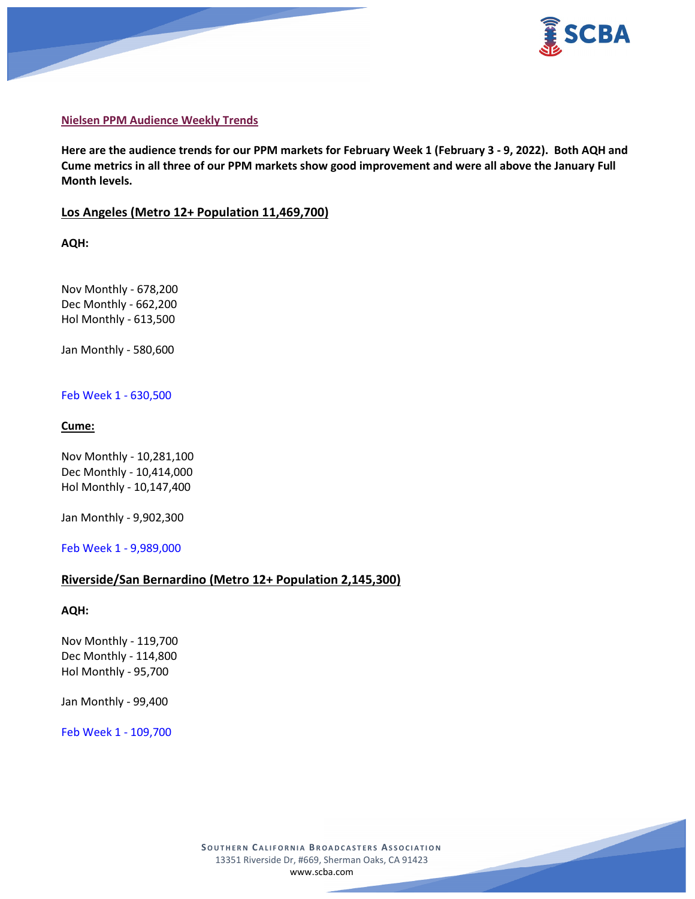



### **Nielsen PPM Audience Weekly Trends**

**Here are the audience trends for our PPM markets for February Week 1 (February 3 - 9, 2022). Both AQH and Cume metrics in all three of our PPM markets show good improvement and were all above the January Full Month levels.**

# **Los Angeles (Metro 12+ Population 11,469,700)**

**AQH:**

Nov Monthly - 678,200 Dec Monthly - 662,200 Hol Monthly - 613,500

Jan Monthly - 580,600

### Feb Week 1 - 630,500

# **Cume:**

Nov Monthly - 10,281,100 Dec Monthly - 10,414,000 Hol Monthly - 10,147,400

Jan Monthly - 9,902,300

Feb Week 1 - 9,989,000

# **Riverside/San Bernardino (Metro 12+ Population 2,145,300)**

**AQH:**

Nov Monthly - 119,700 Dec Monthly - 114,800 Hol Monthly - 95,700

Jan Monthly - 99,400

Feb Week 1 - 109,700